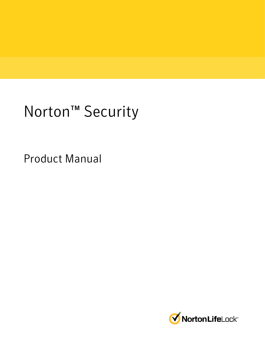# Norton<sup>™</sup> Security

Product Manual

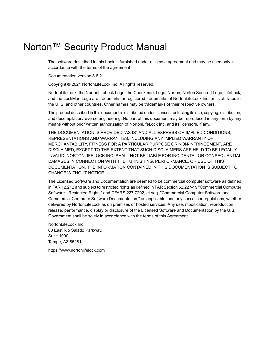### Norton™ Security Product Manual

The software described in this book is furnished under a license agreement and may be used only in accordance with the terms of the agreement.

Documentation version 8.6.2

Copyright © 2021 NortonLifeLock Inc. All rights reserved.

NortonLifeLock, the NortonLifeLock Logo, the Checkmark Logo, Norton, Norton Secured Logo, LifeLock, and the LockMan Logo are trademarks or registered trademarks of NortonLifeLock Inc. or its affiliates in the U. S. and other countries. Other names may be trademarks of their respective owners.

The product described in this document is distributed under licenses restricting its use, copying, distribution, and decompilation/reverse engineering. No part of this document may be reproduced in any form by any means without prior written authorization of NortonLifeLock Inc. and its licensors, if any.

THE DOCUMENTATION IS PROVIDED "AS IS" AND ALL EXPRESS OR IMPLIED CONDITIONS, REPRESENTATIONS AND WARRANTIES, INCLUDING ANY IMPLIED WARRANTY OF MERCHANTABILITY, FITNESS FOR A PARTICULAR PURPOSE OR NON-INFRINGEMENT, ARE DISCLAIMED, EXCEPT TO THE EXTENT THAT SUCH DISCLAIMERS ARE HELD TO BE LEGALLY INVALID. NORTONLIFELOCK INC. SHALL NOT BE LIABLE FOR INCIDENTAL OR CONSEQUENTIAL DAMAGES IN CONNECTION WITH THE FURNISHING, PERFORMANCE, OR USE OF THIS DOCUMENTATION. THE INFORMATION CONTAINED IN THIS DOCUMENTATION IS SUBJECT TO CHANGE WITHOUT NOTICE.

The Licensed Software and Documentation are deemed to be commercial computer software as defined in FAR 12.212 and subject to restricted rights as defined in FAR Section 52.227-19 "Commercial Computer Software - Restricted Rights" and DFARS 227.7202, et seq. "Commercial Computer Software and Commercial Computer Software Documentation," as applicable, and any successor regulations, whether delivered by NortonLifeLock as on premises or hosted services. Any use, modification, reproduction release, performance, display or disclosure of the Licensed Software and Documentation by the U.S. Government shall be solely in accordance with the terms of this Agreement.

NortonLifeLock Inc. 60 East Rio Salado Parkway, Suite 1000, Tempe, AZ 85281

https://www.nortonlifelock.com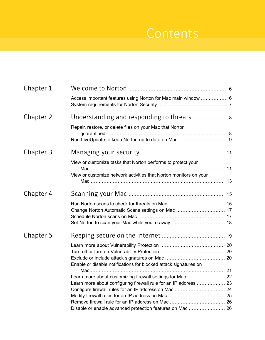## **Contents**

| Chapter 1 |                                                                                                                                |  |
|-----------|--------------------------------------------------------------------------------------------------------------------------------|--|
|           | Access important features using Norton for Mac main window  6                                                                  |  |
| Chapter 2 | Understanding and responding to threats  8                                                                                     |  |
|           | Repair, restore, or delete files on your Mac that Norton                                                                       |  |
| Chapter 3 |                                                                                                                                |  |
|           | View or customize tasks that Norton performs to protect your                                                                   |  |
|           | View or customize network activities that Norton monitors on your                                                              |  |
| Chapter 4 |                                                                                                                                |  |
|           |                                                                                                                                |  |
| Chapter 5 |                                                                                                                                |  |
|           | Enable or disable notifications for blocked attack signatures on                                                               |  |
|           | Learn more about customizing firewall settings for Mac  22<br>Learn more about configuring firewall rule for an IP address  23 |  |
|           | Disable or enable advanced protection features on Mac  26                                                                      |  |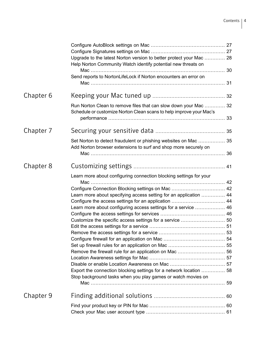|           | Upgrade to the latest Norton version to better protect your Mac  28<br>Help Norton Community Watch identify potential new threats on    |  |
|-----------|-----------------------------------------------------------------------------------------------------------------------------------------|--|
|           | Send reports to NortonLifeLock if Norton encounters an error on                                                                         |  |
|           |                                                                                                                                         |  |
| Chapter 6 |                                                                                                                                         |  |
|           | Run Norton Clean to remove files that can slow down your Mac  32<br>Schedule or customize Norton Clean scans to help improve your Mac's |  |
| Chapter 7 |                                                                                                                                         |  |
|           | Set Norton to detect fraudulent or phishing websites on Mac  35<br>Add Norton browser extensions to surf and shop more securely on      |  |
|           |                                                                                                                                         |  |
| Chapter 8 |                                                                                                                                         |  |
|           | Learn more about configuring connection blocking settings for your                                                                      |  |
|           |                                                                                                                                         |  |
|           | Learn more about specifying access setting for an application  44                                                                       |  |
|           |                                                                                                                                         |  |
|           | Learn more about configuring access settings for a service  46                                                                          |  |
|           |                                                                                                                                         |  |
|           |                                                                                                                                         |  |
|           |                                                                                                                                         |  |
|           |                                                                                                                                         |  |
|           |                                                                                                                                         |  |
|           |                                                                                                                                         |  |
|           |                                                                                                                                         |  |
|           |                                                                                                                                         |  |
|           |                                                                                                                                         |  |
|           | Export the connection blocking settings for a network location  58<br>Stop background tasks when you play games or watch movies on      |  |
|           |                                                                                                                                         |  |
| Chapter 9 |                                                                                                                                         |  |
|           |                                                                                                                                         |  |
|           |                                                                                                                                         |  |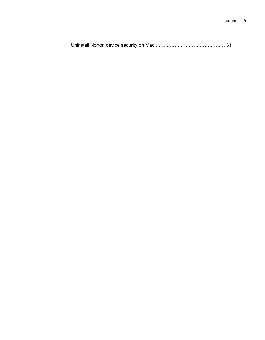$\mathbf{I}$ 

|--|--|--|--|--|--|--|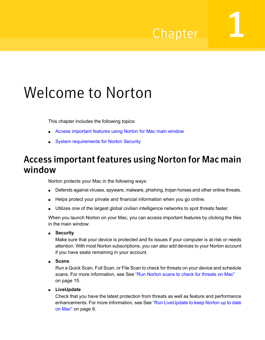## Chapter

# <span id="page-5-0"></span>Welcome to Norton

This chapter includes the following topics:

- <span id="page-5-1"></span>■ Access [important](#page-5-1) features using Norton for Mac main window
- System [requirements](#page-6-0) for Norton Security

### Access important features using Norton for Mac main window

Norton protects your Mac in the following ways:

- Defends against viruses, spyware, malware, phishing, trojan horses and other online threats.
- Helps protect your private and financial information when you go online.
- Utilizes one of the largest global civilian intelligence networks to spot threats faster.

When you launch Norton on your Mac, you can access important features by clicking the tiles in the main window:

■ **Security**

Make sure that your device is protected and fix issues if your computer is at risk or needs attention. With most Norton subscriptions, you can also add devices to your Norton account if you have seats remaining in your account.

■ **Scans**

Run a Quick Scan, Full Scan, or File Scan to check for threats on your device and schedule scans. For more information, see See "Run Norton scans to check for [threats](#page-14-1) on Mac" on page 15.

■ **LiveUpdate**

Check that you have the latest protection from threats as well as feature and performance enhancements. For more information, see See "Run [LiveUpdate](#page-8-0) to keep Norton up to date on [Mac"](#page-8-0) on page 9.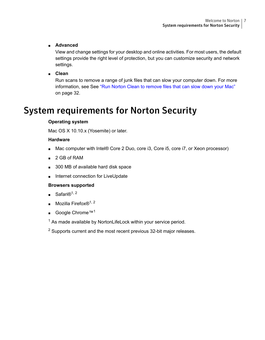#### ■ **Advanced**

View and change settings for your desktop and online activities. For most users, the default settings provide the right level of protection, but you can customize security and network settings.

#### ■ **Clean**

<span id="page-6-0"></span>Run scans to remove a range of junk files that can slow your computer down. For more information, see See "Run Norton Clean to [remove](#page-31-1) files that can slow down your Mac" on page 32.

### System requirements for Norton Security

#### **Operating system**

Mac OS X 10.10.x (Yosemite) or later.

#### **Hardware**

- Mac computer with Intel® Core 2 Duo, core i3, Core i5, core i7, or Xeon processor)
- 2 GB of RAM
- 300 MB of available hard disk space
- Internet connection for LiveUpdate

#### **Browsers supported**

- $\blacksquare$  Safari $\mathbb{R}^{1, 2}$
- **Mozilla Firefox**®<sup>1, 2</sup>
- Google Chrome™<sup>1</sup>

 $1$  As made available by NortonLifeLock within your service period.

<sup>2</sup> Supports current and the most recent previous 32-bit major releases.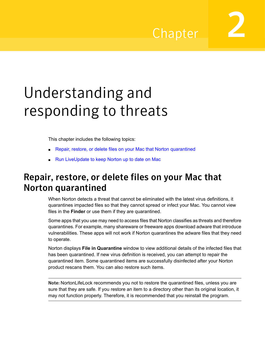Chapter

<span id="page-7-0"></span>Understanding and responding to threats

This chapter includes the following topics:

- <span id="page-7-1"></span>Repair, restore, or delete files on your Mac that Norton [quarantined](#page-7-1)
- Run [LiveUpdate](#page-8-0) to keep Norton up to date on Mac

### Repair, restore, or delete files on your Mac that Norton quarantined

When Norton detects a threat that cannot be eliminated with the latest virus definitions, it quarantines impacted files so that they cannot spread or infect your Mac. You cannot view files in the **Finder** or use them if they are quarantined.

Some apps that you use may need to access files that Norton classifies as threats and therefore quarantines. For example, many shareware or freeware apps download adware that introduce vulnerabilities. These apps will not work if Norton quarantines the adware files that they need to operate.

Norton displays **File in Quarantine** window to view additional details of the infected files that has been quarantined. If new virus definition is received, you can attempt to repair the quarantined item. Some quarantined items are successfully disinfected after your Norton product rescans them. You can also restore such items.

Note: NortonLifeLock recommends you not to restore the quarantined files, unless you are sure that they are safe. If you restore an item to a directory other than its original location, it may not function properly. Therefore, it is recommended that you reinstall the program.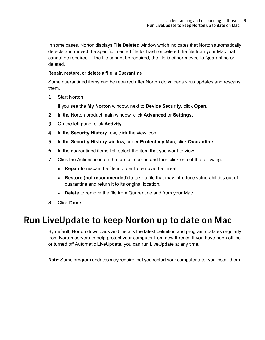In some cases, Norton displays **File Deleted** window which indicates that Norton automatically detects and moved the specific infected file to Trash or deleted the file from your Mac that cannot be repaired. If the file cannot be repaired, the file is either moved to Quarantine or deleted.

#### Repair, restore, or delete a file in Quarantine

Some quarantined items can be repaired after Norton downloads virus updates and rescans them.

1 Start Norton.

If you see the **My Norton** window, next to **Device Security**, click **Open**.

- 2 In the Norton product main window, click **Advanced** or **Settings**.
- 3 On the left pane, click **Activity**.
- 4 In the **Security History** row, click the view icon.
- 5 In the **Security History** window, under **Protect my Mac**, click **Quarantine**.
- 6 In the quarantined items list, select the item that you want to view.
- 7 Click the Actions icon on the top-left corner, and then click one of the following:
	- **Repair** to rescan the file in order to remove the threat.
	- **Restore (not recommended)** to take a file that may introduce vulnerabilities out of quarantine and return it to its original location.
	- **Delete** to remove the file from Quarantine and from your Mac.
- <span id="page-8-0"></span>8 Click **Done**.

### Run LiveUpdate to keep Norton up to date on Mac

By default, Norton downloads and installs the latest definition and program updates regularly from Norton servers to help protect your computer from new threats. If you have been offline or turned off Automatic LiveUpdate, you can run LiveUpdate at any time.

Note: Some program updates may require that you restart your computer after you install them.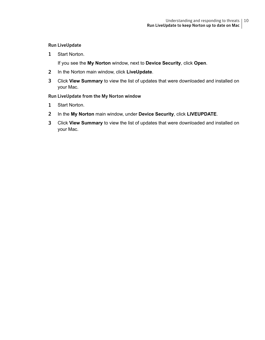#### Run LiveUpdate

1 Start Norton.

If you see the **My Norton** window, next to **Device Security**, click **Open**.

- 2 In the Norton main window, click **LiveUpdate**.
- 3 Click **View Summary** to view the list of updates that were downloaded and installed on your Mac.

#### Run LiveUpdate from the My Norton window

- 1 Start Norton.
- 2 In the **My Norton** main window, under **Device Security**, click **LIVEUPDATE**.
- 3 Click **View Summary** to view the list of updates that were downloaded and installed on your Mac.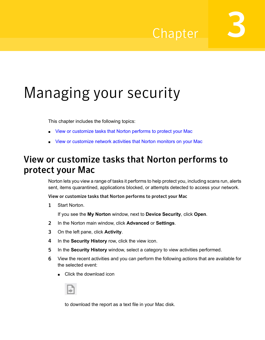## Chapter

# <span id="page-10-0"></span>Managing your security

This chapter includes the following topics:

- <span id="page-10-1"></span>■ View or [customize](#page-10-1) tasks that Norton performs to protect your Mac
- View or [customize](#page-12-0) network activities that Norton monitors on your Mac

### View or customize tasks that Norton performs to protect your Mac

Norton lets you view a range of tasks it performs to help protect you, including scans run, alerts sent, items quarantined, applications blocked, or attempts detected to access your network.

View or customize tasks that Norton performs to protect your Mac

1 Start Norton.

If you see the **My Norton** window, next to **Device Security**, click **Open**.

- 2 In the Norton main window, click **Advanced** or **Settings**.
- 3 On the left pane, click **Activity**.
- 4 In the **Security History** row, click the view icon.
- 5 In the **Security History** window, select a category to view activities performed.
- 6 View the recent activities and you can perform the following actions that are available for the selected event:
	- Click the download icon



to download the report as a text file in your Mac disk.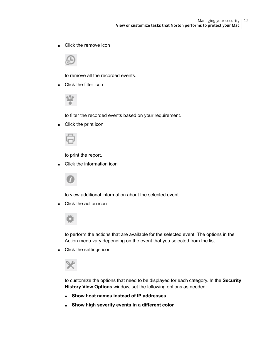Click the remove icon



to remove all the recorded events.

■ Click the filter icon



to filter the recorded events based on your requirement.

■ Click the print icon



to print the report.

Click the information icon



to view additional information about the selected event.

Click the action icon



to perform the actions that are available for the selected event. The options in the Action menu vary depending on the event that you selected from the list.

■ Click the settings icon



to customize the options that need to be displayed for each category. In the **Security History View Options** window, set the following options as needed:

- **Show host names instead of IP addresses**
- **Show high severity events in a different color**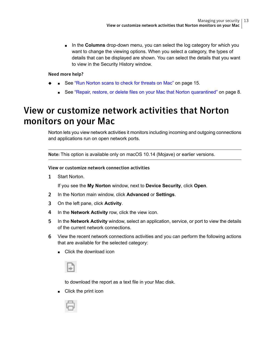■ In the **Columns** drop-down menu, you can select the log category for which you want to change the viewing options. When you select a category, the types of details that can be displayed are shown. You can select the details that you want to view in the Security History window.

#### Need more help?

- <span id="page-12-0"></span>■ See "Run Norton scans to check for [threats](#page-14-1) on Mac" on page 15.
	- See "Repair, restore, or delete files on your Mac that Norton [quarantined"](#page-7-1) on page 8.

### View or customize network activities that Norton monitors on your Mac

Norton lets you view network activities it monitors including incoming and outgoing connections and applications run on open network ports.

Note: This option is available only on macOS 10.14 (Mojave) or earlier versions.

#### View or customize network connection activities

1 Start Norton.

If you see the **My Norton** window, next to **Device Security**, click **Open**.

- 2 In the Norton main window, click **Advanced** or **Settings**.
- 3 On the left pane, click **Activity**.
- 4 In the **Network Activity** row, click the view icon.
- 5 In the **Network Activity** window, select an application, service, or port to view the details of the current network connections.
- 6 View the recent network connections activities and you can perform the following actions that are available for the selected category:
	- Click the download icon



to download the report as a text file in your Mac disk.

■ Click the print icon

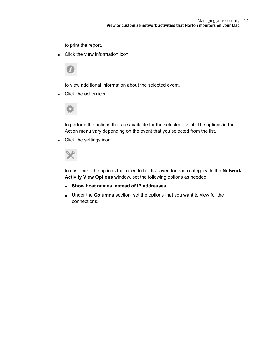to print the report.

Click the view information icon



to view additional information about the selected event.

■ Click the action icon



to perform the actions that are available for the selected event. The options in the Action menu vary depending on the event that you selected from the list.

■ Click the settings icon



to customize the options that need to be displayed for each category. In the **Network Activity View Options** window, set the following options as needed:

- **Show host names instead of IP addresses**
- Under the **Columns** section, set the options that you want to view for the connections.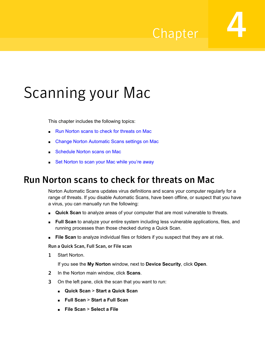## Chapter

# <span id="page-14-0"></span>Scanning your Mac

This chapter includes the following topics:

- Run Norton scans to check for [threats](#page-14-1) on Mac
- Change Norton [Automatic](#page-16-0) Scans settings on Mac
- <span id="page-14-1"></span>[Schedule](#page-16-1) Norton scans on Mac
- Set [Norton](#page-17-0) to scan your Mac while you're away

### Run Norton scans to check for threats on Mac

Norton Automatic Scans updates virus definitions and scans your computer regularly for a range of threats. If you disable Automatic Scans, have been offline, or suspect that you have a virus, you can manually run the following:

- **Quick Scan** to analyze areas of your computer that are most vulnerable to threats.
- **Full Scan** to analyze your entire system including less vulnerable applications, files, and running processes than those checked during a Quick Scan.
- **File Scan** to analyze individual files or folders if you suspect that they are at risk.

Run a Quick Scan, Full Scan, or File scan

1 Start Norton.

- 2 In the Norton main window, click **Scans**.
- 3 On the left pane, click the scan that you want to run:
	- **Quick Scan** > **Start a Quick Scan**
	- **Full Scan** > **Start a Full Scan**
	- **File Scan** > **Select a File**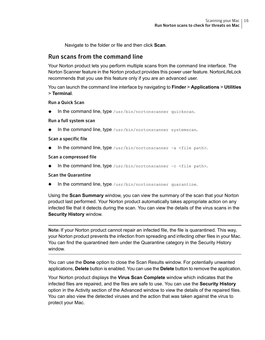Navigate to the folder or file and then click **Scan**.

#### Run scans from the command line

Your Norton product lets you perform multiple scans from the command line interface. The Norton Scanner feature in the Norton product provides this power user feature. NortonLifeLock recommends that you use this feature only if you are an advanced user.

You can launch the command line interface by navigating to **Finder** > **Applications** > **Utilities** > **Terminal**.

Run a Quick Scan

In the command line, type  $/usr/bin/nortonscanner quickscan$ .

#### Run a full system scan

In the command line, type /usr/bin/nortonscanner systemscan.

#### Scan a specific file

In the command line, type  $/usr/bin/nortonscanner -a <$ file path>.

#### Scan a compressed file

In the command line, type /usr/bin/nortonscanner  $-c$  <file path>.

#### Scan the Quarantine

In the command line, type /usr/bin/nortonscanner quarantine.

Using the **Scan Summary** window, you can view the summary of the scan that your Norton product last performed. Your Norton product automatically takes appropriate action on any infected file that it detects during the scan. You can view the details of the virus scans in the **Security History** window.

Note: If your Norton product cannot repair an infected file, the file is quarantined. This way, your Norton product prevents the infection from spreading and infecting other files in your Mac. You can find the quarantined item under the Quarantine category in the Security History window.

You can use the **Done** option to close the Scan Results window. For potentially unwanted applications, **Delete** button is enabled. You can use the **Delete** button to remove the application.

Your Norton product displays the **Virus Scan Complete** window which indicates that the infected files are repaired, and the files are safe to use. You can use the **Security History** option in the Activity section of the Advanced window to view the details of the repaired files. You can also view the detected viruses and the action that was taken against the virus to protect your Mac.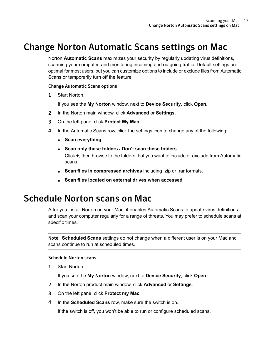### Change Norton Automatic Scans settings on Mac

<span id="page-16-0"></span>Norton **Automatic Scans** maximizes your security by regularly updating virus definitions, scanning your computer, and monitoring incoming and outgoing traffic. Default settings are optimal for most users, but you can customize options to include or exclude files from Automatic Scans or temporarily turn off the feature.

#### Change Automatic Scans options

1 Start Norton.

If you see the **My Norton** window, next to **Device Security**, click **Open**.

- 2 In the Norton main window, click **Advanced** or **Settings**.
- 3 On the left pane, click **Protect My Mac**.
- 4 In the Automatic Scans row, click the settings icon to change any of the following:
	- **Scan everything**
	- **Scan only these folders** / **Don't scan these folders** Click **+**, then browse to the folders that you want to include or exclude from Automatic scans
	- **Scan files in compressed archives** including .zip or .rar formats.
	- **Scan files located on external drives when accessed**

### <span id="page-16-1"></span>Schedule Norton scans on Mac

After you install Norton on your Mac, it enables Automatic Scans to update virus definitions and scan your computer regularly for a range of threats. You may prefer to schedule scans at specific times.

Note: **Scheduled Scans** settings do not change when a different user is on your Mac and scans continue to run at scheduled times.

#### Schedule Norton scans

1 Start Norton.

If you see the **My Norton** window, next to **Device Security**, click **Open**.

- 2 In the Norton product main window, click **Advanced** or **Settings**.
- 3 On the left pane, click **Protect my Mac**.
- 4 In the **Scheduled Scans** row, make sure the switch is on.

If the switch is off, you won't be able to run or configure scheduled scans.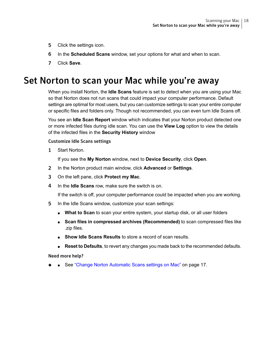- 5 Click the settings icon.
- 6 In the **Scheduled Scans** window, set your options for what and when to scan.
- <span id="page-17-0"></span>7 Click **Save**.

### Set Norton to scan your Mac while you're away

When you install Norton, the **Idle Scans** feature is set to detect when you are using your Mac so that Norton does not run scans that could impact your computer performance. Default settings are optimal for most users, but you can customize settings to scan your entire computer or specific files and folders only. Though not recommended, you can even turn Idle Scans off.

You see an **Idle Scan Report** window which indicates that your Norton product detected one or more infected files during idle scan. You can use the **View Log** option to view the details of the infected files in the **Security History** window

#### Customize Idle Scans settings

1 Start Norton.

If you see the **My Norton** window, next to **Device Security**, click **Open**.

- 2 In the Norton product main window, click **Advanced** or **Settings**.
- 3 On the left pane, click **Protect my Mac**.
- 4 In the **Idle Scans** row, make sure the switch is on.

If the switch is off, your computer performance could be impacted when you are working.

- 5 In the Idle Scans window, customize your scan settings:
	- **What to Scan** to scan your entire system, your startup disk, or all user folders
	- **Scan files in compressed archives (Recommended)** to scan compressed files like .zip files.
	- **Show Idle Scans Results** to store a record of scan results.
	- **Reset to Defaults**, to revert any changes you made back to the recommended defaults.

Need more help?

■ See "Change Norton [Automatic](#page-16-0) Scans settings on Mac" on page 17.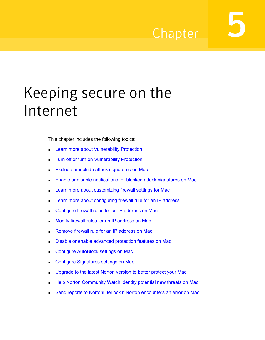## Chapter

# <span id="page-18-0"></span>Keeping secure on the Internet

This chapter includes the following topics:

- **Learn more about [Vulnerability](#page-19-0) Protection**
- Turn off or turn on [Vulnerability](#page-19-1) Protection
- Exclude or include attack [signatures](#page-19-2) on Mac
- Enable or disable [notifications](#page-20-0) for blocked attack signatures on Mac
- Learn more about [customizing](#page-21-0) firewall settings for Mac
- Learn more about [configuring](#page-22-0) firewall rule for an IP address
- [Configure](#page-23-0) firewall rules for an IP address on Mac
- Modify firewall rules for an IP [address](#page-24-0) on Mac
- [Remove](#page-25-0) firewall rule for an IP address on Mac
- Disable or enable advanced [protection](#page-25-1) features on Mac
- Configure [AutoBlock](#page-26-0) settings on Mac
- Configure [Signatures](#page-26-1) settings on Mac
- [Upgrade](#page-27-0) to the latest Norton version to better protect your Mac
- Help Norton [Community](#page-29-0) Watch identify potential new threats on Mac
- Send reports to [NortonLifeLock](#page-30-0) if Norton encounters an error on Mac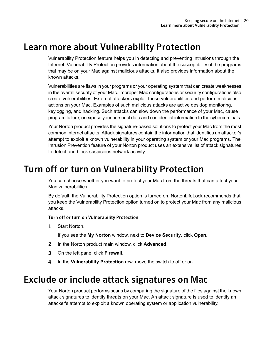### Learn more about Vulnerability Protection

<span id="page-19-0"></span>Vulnerability Protection feature helps you in detecting and preventing Intrusions through the Internet. Vulnerability Protection provides information about the susceptibility of the programs that may be on your Mac against malicious attacks. It also provides information about the known attacks.

Vulnerabilities are flaws in your programs or your operating system that can create weaknesses in the overall security of your Mac. Improper Mac configurations or security configurations also create vulnerabilities. External attackers exploit these vulnerabilities and perform malicious actions on your Mac. Examples of such malicious attacks are active desktop monitoring, keylogging, and hacking. Such attacks can slow down the performance of your Mac, cause program failure, or expose your personal data and confidential information to the cybercriminals.

<span id="page-19-1"></span>Your Norton product provides the signature-based solutions to protect your Mac from the most common Internet attacks. Attack signatures contain the information that identifies an attacker's attempt to exploit a known vulnerability in your operating system or your Mac programs. The Intrusion Prevention feature of your Norton product uses an extensive list of attack signatures to detect and block suspicious network activity.

### Turn off or turn on Vulnerability Protection

You can choose whether you want to protect your Mac from the threats that can affect your Mac vulnerabilities.

By default, the Vulnerability Protection option is turned on. NortonLifeLock recommends that you keep the Vulnerability Protection option turned on to protect your Mac from any malicious attacks.

Turn off or turn on Vulnerability Protection

1 Start Norton.

If you see the **My Norton** window, next to **Device Security**, click **Open**.

- <span id="page-19-2"></span>2 In the Norton product main window, click **Advanced**.
- 3 On the left pane, click **Firewall**.
- 4 In the **Vulnerability Protection** row, move the switch to off or on.

### Exclude or include attack signatures on Mac

Your Norton product performs scans by comparing the signature of the files against the known attack signatures to identify threats on your Mac. An attack signature is used to identify an attacker's attempt to exploit a known operating system or application vulnerability.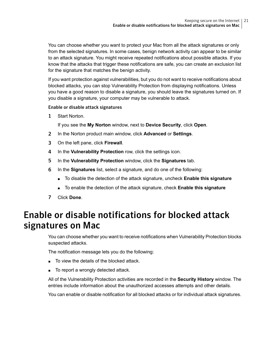You can choose whether you want to protect your Mac from all the attack signatures or only from the selected signatures. In some cases, benign network activity can appear to be similar to an attack signature. You might receive repeated notifications about possible attacks. If you know that the attacks that trigger these notifications are safe, you can create an exclusion list for the signature that matches the benign activity.

If you want protection against vulnerabilities, but you do not want to receive notifications about blocked attacks, you can stop Vulnerability Protection from displaying notifications. Unless you have a good reason to disable a signature, you should leave the signatures turned on. If you disable a signature, your computer may be vulnerable to attack.

#### Enable or disable attack signatures

1 Start Norton.

If you see the **My Norton** window, next to **Device Security**, click **Open**.

- 2 In the Norton product main window, click **Advanced** or **Settings**.
- 3 On the left pane, click **Firewall**.
- 4 In the **Vulnerability Protection** row, click the settings icon.
- 5 In the **Vulnerability Protection** window, click the **Signatures** tab.
- 6 In the **Signatures** list, select a signature, and do one of the following:
	- To disable the detection of the attack signature, uncheck **Enable this signature**
	- To enable the detection of the attack signature, check **Enable this signature**
- <span id="page-20-0"></span>7 Click **Done**.

### Enable or disable notifications for blocked attack signatures on Mac

You can choose whether you want to receive notifications when Vulnerability Protection blocks suspected attacks.

The notification message lets you do the following:

- To view the details of the blocked attack.
- To report a wrongly detected attack.

All of the Vulnerability Protection activities are recorded in the **Security History** window. The entries include information about the unauthorized accesses attempts and other details.

You can enable or disable notification for all blocked attacks or for individual attack signatures.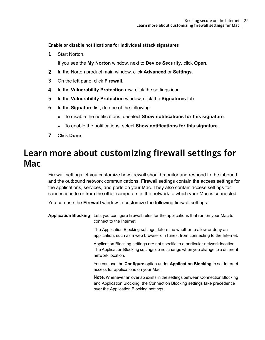Enable or disable notifications for individual attack signatures

1 Start Norton.

If you see the **My Norton** window, next to **Device Security**, click **Open**.

- 2 In the Norton product main window, click **Advanced** or **Settings**.
- 3 On the left pane, click **Firewall**.
- 4 In the **Vulnerability Protection** row, click the settings icon.
- 5 In the **Vulnerability Protection** window, click the **Signatures** tab.
- 6 In the **Signature** list, do one of the following:
	- To disable the notifications, deselect **Show notifications for this signature**.
	- To enable the notifications, select **Show notifications for this signature**.
- <span id="page-21-0"></span>7 Click **Done**.

### Learn more about customizing firewall settings for Mac

Firewall settings let you customize how firewall should monitor and respond to the inbound and the outbound network communications. Firewall settings contain the access settings for the applications, services, and ports on your Mac. They also contain access settings for connections to or from the other computers in the network to which your Mac is connected.

You can use the **Firewall** window to customize the following firewall settings:

**Application Blocking** Lets you configure firewall rules for the applications that run on your Mac to connect to the Internet.

> The Application Blocking settings determine whether to allow or deny an application, such as a web browser or iTunes, from connecting to the Internet.

> Application Blocking settings are not specific to a particular network location. The Application Blocking settings do not change when you change to a different network location.

> You can use the **Configure** option under **Application Blocking** to set Internet access for applications on your Mac.

> Note: Whenever an overlap exists in the settings between Connection Blocking and Application Blocking, the Connection Blocking settings take precedence over the Application Blocking settings.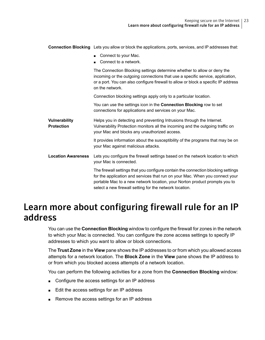|                                    | <b>Connection Blocking</b> Lets you allow or block the applications, ports, services, and IP addresses that:                                                                                                                                                                                               |
|------------------------------------|------------------------------------------------------------------------------------------------------------------------------------------------------------------------------------------------------------------------------------------------------------------------------------------------------------|
|                                    | Connect to your Mac.<br>Connect to a network.                                                                                                                                                                                                                                                              |
|                                    | The Connection Blocking settings determine whether to allow or deny the<br>incoming or the outgoing connections that use a specific service, application,<br>or a port. You can also configure firewall to allow or block a specific IP address<br>on the network.                                         |
|                                    | Connection blocking settings apply only to a particular location.                                                                                                                                                                                                                                          |
|                                    | You can use the settings icon in the Connection Blocking row to set<br>connections for applications and services on your Mac.                                                                                                                                                                              |
| Vulnerability<br><b>Protection</b> | Helps you in detecting and preventing Intrusions through the Internet.<br>Vulnerability Protection monitors all the incoming and the outgoing traffic on<br>your Mac and blocks any unauthorized access.                                                                                                   |
|                                    | It provides information about the susceptibility of the programs that may be on<br>your Mac against malicious attacks.                                                                                                                                                                                     |
| <b>Location Awareness</b>          | Lets you configure the firewall settings based on the network location to which<br>your Mac is connected.                                                                                                                                                                                                  |
|                                    | The firewall settings that you configure contain the connection blocking settings<br>for the application and services that run on your Mac. When you connect your<br>portable Mac to a new network location, your Norton product prompts you to<br>select a new firewall setting for the network location. |

### <span id="page-22-0"></span>Learn more about configuring firewall rule for an IP address

You can use the **Connection Blocking** window to configure the firewall for zones in the network to which your Mac is connected. You can configure the zone access settings to specify IP addresses to which you want to allow or block connections.

The **Trust Zone** in the **View** pane shows the IP addresses to or from which you allowed access attempts for a network location. The **Block Zone** in the **View** pane shows the IP address to or from which you blocked access attempts of a network location.

You can perform the following activities for a zone from the **Connection Blocking** window:

- Configure the access settings for an IP address
- Edit the access settings for an IP address
- Remove the access settings for an IP address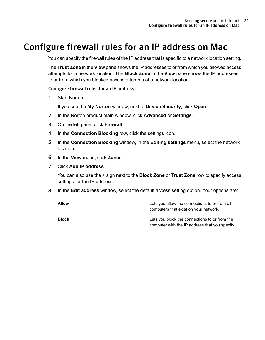### Configure firewall rules for an IP address on Mac

<span id="page-23-0"></span>You can specify the firewall rules of the IP address that is specific to a network location setting.

The **Trust Zone** in the **View** pane shows the IP addresses to or from which you allowed access attempts for a network location. The **Block Zone** in the **View** pane shows the IP addresses to or from which you blocked access attempts of a network location.

#### Configure firewall rules for an IP address

1 Start Norton.

If you see the **My Norton** window, next to **Device Security**, click **Open**.

- 2 In the Norton product main window, click **Advanced** or **Settings**.
- 3 On the left pane, click **Firewall**.
- 4 In the **Connection Blocking** row, click the settings icon.
- 5 In the **Connection Blocking** window, in the **Editing settings** menu, select the network location.
- 6 In the **View** menu, click **Zones**.
- 7 Click **Add IP address**.

You can also use the **+** sign next to the **Block Zone** or **Trust Zone** row to specify access settings for the IP address.

8 In the **Edit address** window, select the default access setting option. Your options are:

| <b>Allow</b> | Lets you allow the connections to or from all<br>computers that exist on your network.          |
|--------------|-------------------------------------------------------------------------------------------------|
| <b>Block</b> | Lets you block the connections to or from the<br>computer with the IP address that you specify. |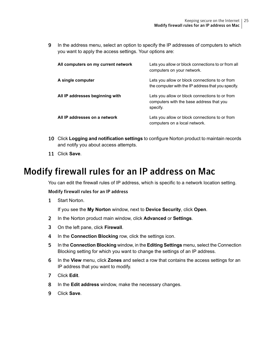9 In the address menu, select an option to specify the IP addresses of computers to which you want to apply the access settings. Your options are:

| All computers on my current network | Lets you allow or block connections to or from all<br>computers on your network.                       |
|-------------------------------------|--------------------------------------------------------------------------------------------------------|
| A single computer                   | Lets you allow or block connections to or from<br>the computer with the IP address that you specify.   |
| All IP addresses beginning with     | Lets you allow or block connections to or from<br>computers with the base address that you<br>specify. |
| All IP addresses on a network       | Lets you allow or block connections to or from<br>computers on a local network.                        |

- <span id="page-24-0"></span>10 Click **Logging and notification settings** to configure Norton product to maintain records and notify you about access attempts.
- 11 Click **Save**.

### Modify firewall rules for an IP address on Mac

You can edit the firewall rules of IP address, which is specific to a network location setting.

Modify firewall rules for an IP address

1 Start Norton.

- 2 In the Norton product main window, click **Advanced** or **Settings**.
- 3 On the left pane, click **Firewall**.
- 4 In the **Connection Blocking** row, click the settings icon.
- 5 In the **Connection Blocking** window, in the **Editing Settings** menu, select the Connection Blocking setting for which you want to change the settings of an IP address.
- 6 In the **View** menu, click **Zones** and select a row that contains the access settings for an IP address that you want to modify.
- 7 Click **Edit**.
- 8 In the **Edit address** window, make the necessary changes.
- 9 Click **Save**.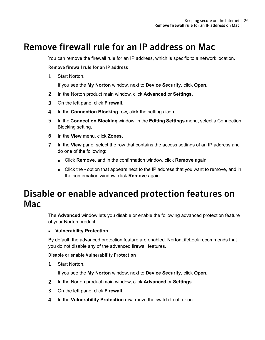### Remove firewall rule for an IP address on Mac

<span id="page-25-0"></span>You can remove the firewall rule for an IP address, which is specific to a network location.

#### Remove firewall rule for an IP address

1 Start Norton.

If you see the **My Norton** window, next to **Device Security**, click **Open**.

- 2 In the Norton product main window, click **Advanced** or **Settings**.
- 3 On the left pane, click **Firewall**.
- 4 In the **Connection Blocking** row, click the settings icon.
- 5 In the **Connection Blocking** window, in the **Editing Settings** menu, select a Connection Blocking setting.
- 6 In the **View** menu, click **Zones**.
- <span id="page-25-1"></span>7 In the **View** pane, select the row that contains the access settings of an IP address and do one of the following:
	- Click **Remove**, and in the confirmation window, click **Remove** again.
	- Click the **-** option that appears next to the IP address that you want to remove, and in the confirmation window, click **Remove** again.

### Disable or enable advanced protection features on Mac

The **Advanced** window lets you disable or enable the following advanced protection feature of your Norton product:

#### ■ **Vulnerability Protection**

By default, the advanced protection feature are enabled. NortonLifeLock recommends that you do not disable any of the advanced firewall features.

#### Disable or enable Vulnerability Protection

1 Start Norton.

- 2 In the Norton product main window, click **Advanced** or **Settings**.
- 3 On the left pane, click **Firewall**.
- 4 In the **Vulnerability Protection** row, move the switch to off or on.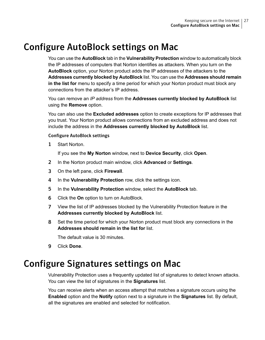### Configure AutoBlock settings on Mac

<span id="page-26-0"></span>You can use the **AutoBlock** tab in the **Vulnerability Protection** window to automatically block the IP addresses of computers that Norton identifies as attackers. When you turn on the **AutoBlock** option, your Norton product adds the IP addresses of the attackers to the **Addresses currently blocked by AutoBlock** list. You can use the **Addresses should remain in the list for** menu to specify a time period for which your Norton product must block any connections from the attacker's IP address.

You can remove an *IP address* from the **Addresses currently blocked by AutoBlock** list using the **Remove** option.

You can also use the **Excluded addresses** option to create exceptions for IP addresses that you trust. Your Norton product allows connections from an excluded address and does not include the address in the **Addresses currently blocked by AutoBlock** list.

#### Configure AutoBlock settings

1 Start Norton.

If you see the **My Norton** window, next to **Device Security**, click **Open**.

- 2 In the Norton product main window, click **Advanced** or **Settings**.
- 3 On the left pane, click **Firewall**.
- 4 In the **Vulnerability Protection** row, click the settings icon.
- 5 In the **Vulnerability Protection** window, select the **AutoBlock** tab.
- 6 Click the **On** option to turn on AutoBlock.
- 7 View the list of IP addresses blocked by the Vulnerability Protection feature in the **Addresses currently blocked by AutoBlock** list.
- <span id="page-26-1"></span>8 Set the time period for which your Norton product must block any connections in the **Addresses should remain in the list for** list.

The default value is 30 minutes.

9 Click **Done**.

### Configure Signatures settings on Mac

Vulnerability Protection uses a frequently updated list of signatures to detect known attacks. You can view the list of signatures in the **Signatures** list.

You can receive alerts when an access attempt that matches a signature occurs using the **Enabled** option and the **Notify** option next to a signature in the **Signatures** list. By default, all the signatures are enabled and selected for notification.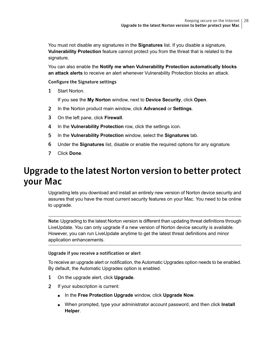You must not disable any signatures in the **Signatures** list. If you disable a signature, **Vulnerability Protection** feature cannot protect you from the threat that is related to the signature.

You can also enable the **Notify me when Vulnerability Protection automatically blocks an attack alerts** to receive an alert whenever Vulnerability Protection blocks an attack.

#### Configure the Signature settings

1 Start Norton.

If you see the **My Norton** window, next to **Device Security**, click **Open**.

- 2 In the Norton product main window, click **Advanced** or **Settings**.
- 3 On the left pane, click **Firewall**.
- 4 In the **Vulnerability Protection** row, click the settings icon.
- 5 In the **Vulnerability Protection** window, select the **Signatures** tab.
- <span id="page-27-0"></span>6 Under the **Signatures** list, disable or enable the required options for any signature.
- 7 Click **Done**.

### Upgrade to the latest Norton version to better protect your Mac

Upgrading lets you download and install an entirely new version of Norton device security and assures that you have the most current security features on your Mac. You need to be online to upgrade.

Note: Upgrading to the latest Norton version is different than updating threat definitions through LiveUpdate. You can only upgrade if a new version of Norton device security is available. However, you can run LiveUpdate anytime to get the latest threat definitions and minor application enhancements.

#### Upgrade if you receive a notification or alert

To receive an upgrade alert or notification, the Automatic Upgrades option needs to be enabled. By default, the Automatic Upgrades option is enabled.

- 1 On the upgrade alert, click **Upgrade**.
- 2 If your subscription is current:
	- In the **Free Protection Upgrade** window, click **Upgrade Now**.
	- When prompted, type your administrator account password, and then click **Install Helper**.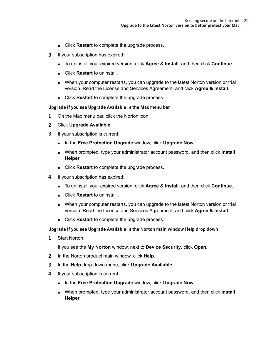- Click **Restart** to complete the upgrade process.
- 3 If your subscription has expired:
	- To uninstall your expired version, click **Agree & Install**, and then click **Continue**.
	- Click **Restart** to uninstall.
	- When your computer restarts, you can upgrade to the latest Norton version or trial version. Read the License and Services Agreement, and click **Agree & Install**.
	- Click **Restart** to complete the upgrade process.

#### Upgrade if you see Upgrade Available in the Mac menu bar

- 1 On the Mac menu bar, click the Norton icon.
- 2 Click **Upgrade Available**.
- 3 If your subscription is current:
	- In the **Free Protection Upgrade** window, click **Upgrade Now**.
	- When prompted, type your administrator account password, and then click **Install Helper**.
	- Click **Restart** to complete the upgrade process.
- 4 If your subscription has expired:
	- To uninstall your expired version, click **Agree & Install**, and then click **Continue**.
	- Click **Restart** to uninstall.
	- When your computer restarts, you can upgrade to the latest Norton version or trial version. Read the License and Services Agreement, and click **Agree & Install**.
	- Click **Restart** to complete the upgrade process.

#### Upgrade if you see Upgrade Available in the Norton main window Help drop down

1 Start Norton.

- 2 In the Norton product main window, click **Help**.
- 3 In the **Help** drop-down menu, click **Upgrade Available**.
- 4 If your subscription is current:
	- In the **Free Protection Upgrade** window, click **Upgrade Now**.
	- When prompted, type your administrator account password, and then click **Install Helper**.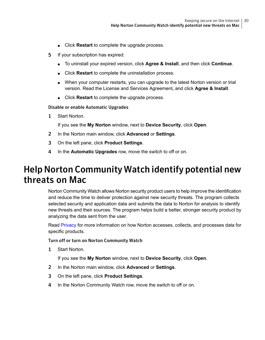- Click **Restart** to complete the upgrade process.
- 5 If your subscription has expired:
	- To uninstall your expired version, click **Agree & Install**, and then click **Continue**.
	- Click **Restart** to complete the uninstallation process.
	- When your computer restarts, you can upgrade to the latest Norton version or trial version. Read the License and Services Agreement, and click **Agree & Install**.
	- Click **Restart** to complete the upgrade process.

#### Disable or enable Automatic Upgrades

1 Start Norton.

If you see the **My Norton** window, next to **Device Security**, click **Open**.

- 2 In the Norton main window, click **Advanced** or **Settings**.
- <span id="page-29-0"></span>3 On the left pane, click **Product Settings**.
- 4 In the **Automatic Upgrades** row, move the switch to off or on.

### Help Norton Community Watch identify potential new threats on Mac

Norton Community Watch allows Norton security product users to help improve the identification and reduce the time to deliver protection against new security threats. The program collects selected security and application data and submits the data to Norton for analysis to identify new threats and their sources. The program helps build a better, stronger security product by analyzing the data sent from the user.

Read [Privacy](https://www.nortonlifelock.com/privacy) for more information on how Norton accesses, collects, and processes data for specific products.

Turn off or turn on Norton Community Watch

1 Start Norton.

- 2 In the Norton main window, click **Advanced** or **Settings**.
- 3 On the left pane, click **Product Settings**.
- 4 In the Norton Community Watch row, move the switch to off or on.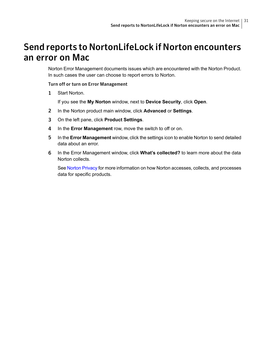### <span id="page-30-0"></span>Send reports to NortonLifeLock if Norton encounters an error on Mac

Norton Error Management documents issues which are encountered with the Norton Product. In such cases the user can choose to report errors to Norton.

#### Turn off or turn on Error Management

1 Start Norton.

If you see the **My Norton** window, next to **Device Security**, click **Open**.

- 2 In the Norton product main window, click **Advanced** or **Settings**.
- 3 On the left pane, click **Product Settings**.
- 4 In the **Error Management** row, move the switch to off or on.
- 5 In the **Error Management** window, click the settings icon to enable Norton to send detailed data about an error.
- 6 In the Error Management window, click **What's collected?** to learn more about the data Norton collects.

See Norton [Privacy](https://www.nortonlifelock.com/privacy#norton) for more information on how Norton accesses, collects, and processes data for specific products.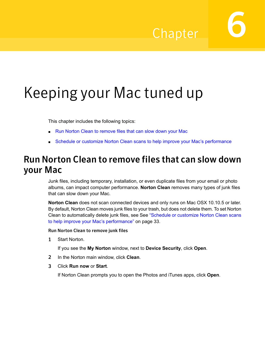## Chapter

# <span id="page-31-0"></span>Keeping your Mac tuned up

This chapter includes the following topics:

- <span id="page-31-1"></span>■ Run Norton Clean to [remove](#page-31-1) files that can slow down your Mac
- Schedule or customize Norton Clean scans to help improve your Mac's [performance](#page-32-0)

### Run Norton Clean to remove files that can slow down your Mac

Junk files, including temporary, installation, or even duplicate files from your email or photo albums, can impact computer performance. **Norton Clean** removes many types of junk files that can slow down your Mac.

**Norton Clean** does not scan connected devices and only runs on Mac OSX 10.10.5 or later. By default, Norton Clean moves junk files to your trash, but does not delete them. To set Norton Clean to automatically delete junk files, see See ["Schedule](#page-32-0) or customize Norton Clean scans to help improve your Mac's [performance"](#page-32-0) on page 33.

#### Run Norton Clean to remove junk files

1 Start Norton.

If you see the **My Norton** window, next to **Device Security**, click **Open**.

- 2 In the Norton main window, click **Clean**.
- 3 Click **Run now** or **Start**.

If Norton Clean prompts you to open the Photos and iTunes apps, click **Open**.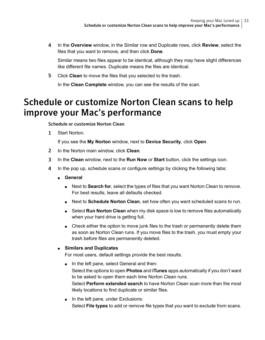4 In the **Overview** window, in the Similar row and Duplicate rows, click **Review**, select the files that you want to remove, and then click **Done**.

Similar means two files appear to be identical, although they may have slight differences like different file names. Duplicate means the files are identical.

<span id="page-32-0"></span>5 Click **Clean** to move the files that you selected to the trash.

In the **Clean Complete** window, you can see the results of the scan.

### Schedule or customize Norton Clean scans to help improve your Mac's performance

Schedule or customize Norton Clean

1 Start Norton.

If you see the **My Norton** window, next to **Device Security**, click **Open**.

- 2 In the Norton main window, click **Clean**.
- 3 In the **Clean** window, next to the **Run Now** or **Start** button, click the settings icon.
- 4 In the pop up, schedule scans or configure settings by clicking the following tabs:
	- **General**
		- Next to **Search for**, select the types of files that you want Norton Clean to remove. For best results, leave all defaults checked.
		- Next to **Schedule Norton Clean**, set how often you want scheduled scans to run.
		- Select **Run Norton Clean** when my disk space is low to remove files automatically when your hard drive is getting full.
		- Check either the option to move junk files to the trash or permanently delete them as soon as Norton Clean runs. If you move files to the trash, you must empty your trash before files are permanently deleted.

#### ■ **Similars and Duplicates**

For most users, default settings provide the best results.

- In the left pane, select General and then: Select the options to open **Photos** and **iTunes** apps automatically if you don't want to be asked to open them each time Norton Clean runs. Select **Perform extended search** to have Norton Clean scan more than the most likely locations to find duplicate or similar files.
- In the left pane, under Exclusions: Select **File types** to add or remove file types that you want to exclude from scans.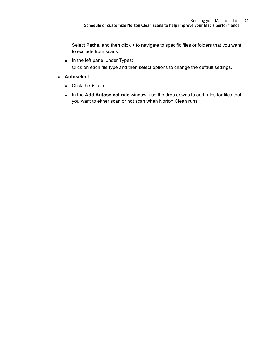Select **Paths**, and then click **+** to navigate to specific files or folders that you want to exclude from scans.

- In the left pane, under Types: Click on each file type and then select options to change the default settings.
- **Autoselect**
	- Click the **+** icon.
	- In the **Add Autoselect rule** window, use the drop downs to add rules for files that you want to either scan or not scan when Norton Clean runs.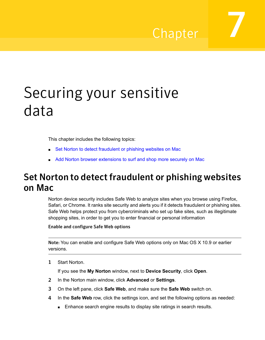## Chapter

# <span id="page-34-0"></span>Securing your sensitive data

This chapter includes the following topics:

- <span id="page-34-1"></span>■ Set Norton to detect [fraudulent](#page-34-1) or phishing websites on Mac
- Add Norton browser [extensions](#page-35-0) to surf and shop more securely on Mac

### Set Norton to detect fraudulent or phishing websites on Mac

Norton device security includes Safe Web to analyze sites when you browse using Firefox, Safari, or Chrome. It ranks site security and alerts you if it detects fraudulent or phishing sites. Safe Web helps protect you from cybercriminals who set up fake sites, such as illegitimate shopping sites, in order to get you to enter financial or personal information

#### Enable and configure Safe Web options

Note: You can enable and configure Safe Web options only on Mac OS X 10.9 or earlier versions.

1 Start Norton.

- 2 In the Norton main window, click **Advanced** or **Settings**.
- 3 On the left pane, click **Safe Web**, and make sure the **Safe Web** switch on.
- 4 In the **Safe Web** row, click the settings icon, and set the following options as needed:
	- Enhance search engine results to display site ratings in search results.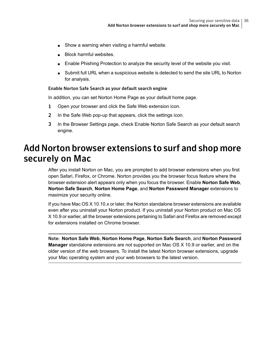- Show a warning when visiting a harmful website.
- Block harmful websites
- Enable Phishing Protection to analyze the security level of the website you visit.
- Submit full URL when a suspicious website is detected to send the site URL to Norton for analysis.

#### Enable Norton Safe Search as your default search engine

In addition, you can set Norton Home Page as your default home page.

- 1 Open your browser and click the Safe Web extension icon.
- 2 In the Safe Web pop-up that appears, click the settings icon.
- <span id="page-35-0"></span>3 In the Browser Settings page, check Enable Norton Safe Search as your default search engine.

### Add Norton browser extensions to surf and shop more securely on Mac

After you install Norton on Mac, you are prompted to add browser extensions when you first open Safari, Firefox, or Chrome. Norton provides you the browser focus feature where the browser extension alert appears only when you focus the browser. Enable **Norton Safe Web**, **Norton Safe Search**, **Norton Home Page**, and **Norton Password Manager** extensions to maximize your security online.

If you have Mac OS X 10.10.x or later, the Norton standalone browser extensions are available even after you uninstall your Norton product. If you uninstall your Norton product on Mac OS X 10.9 or earlier, all the browser extensions pertaining to Safari and Firefox are removed except for extensions installed on Chrome browser.

Note: **Norton Safe Web**, **Norton Home Page**, **Norton Safe Search**, and **Norton Password Manager** standalone extensions are not supported on Mac OS X 10.9 or earlier, and on the older version of the web browsers. To install the latest Norton browser extensions, upgrade your Mac operating system and your web browsers to the latest version.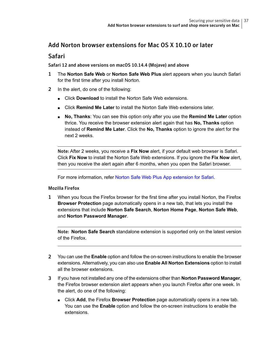#### Add Norton browser extensions for Mac OS X 10.10 or later

#### Safari

Safari 12 and above versions on macOS 10.14.4 (Mojave) and above

- 1 The **Norton Safe Web** or **Norton Safe Web Plus** alert appears when you launch Safari for the first time after you install Norton.
- 2 In the alert, do one of the following:
	- Click **Download** to install the Norton Safe Web extensions.
	- Click **Remind Me Later** to install the Norton Safe Web extensions later.
	- **No, Thanks**: You can see this option only after you use the **Remind Me Later** option thrice. You receive the browser extension alert again that has **No, Thanks** option instead of **Remind Me Later**. Click the **No, Thanks** option to ignore the alert for the next 2 weeks.

Note: After 2 weeks, you receive a **Fix Now** alert, if your default web browser is Safari. Click **Fix Now** to install the Norton Safe Web extensions. If you ignore the **Fix Now** alert, then you receive the alert again after 6 months, when you open the Safari browser.

For more information, refer Norton Safe Web Plus App [extension](kb://v133762860) for Safari.

#### Mozilla Firefox

1 When you focus the Firefox browser for the first time after you install Norton, the Firefox **Browser Protection** page automatically opens in a new tab, that lets you install the extensions that include **Norton Safe Search**, **Norton Home Page**, **Norton Safe Web**, and **Norton Password Manager**.

Note: **Norton Safe Search** standalone extension is supported only on the latest version of the Firefox.

- 2 You can use the **Enable** option and follow the on-screen instructions to enable the browser extensions. Alternatively, you can also use **Enable All Norton Extensions** option to install all the browser extensions.
- 3 If you have not installed any one of the extensions other than **Norton Password Manager**, the Firefox browser extension alert appears when you launch Firefox after one week. In the alert, do one of the following:
	- Click **Add**, the Firefox **Browser Protection** page automatically opens in a new tab. You can use the **Enable** option and follow the on-screen instructions to enable the extensions.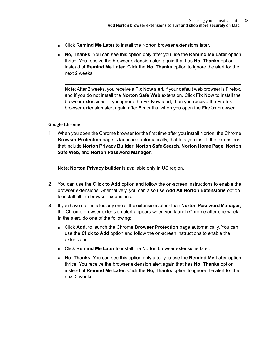- Click **Remind Me Later** to install the Norton browser extensions later.
- **No, Thanks**: You can see this option only after you use the **Remind Me Later** option thrice. You receive the browser extension alert again that has **No, Thanks** option instead of **Remind Me Later**. Click the **No, Thanks** option to ignore the alert for the next 2 weeks.

Note: After 2 weeks, you receive a **Fix Now** alert, if your default web browser is Firefox, and if you do not install the **Norton Safe Web** extension. Click **Fix Now** to install the browser extensions. If you ignore the Fix Now alert, then you receive the Firefox browser extension alert again after 6 months, when you open the Firefox browser.

#### Google Chrome

1 When you open the Chrome browser for the first time after you install Norton, the Chrome **Browser Protection** page is launched automatically, that lets you install the extensions that include **Norton Privacy Builder**, **Norton Safe Search**, **Norton Home Page**, **Norton Safe Web**, and **Norton Password Manager**.

Note: **Norton Privacy builder** is available only in US region.

- 2 You can use the **Click to Add** option and follow the on-screen instructions to enable the browser extensions. Alternatively, you can also use **Add All Norton Extensions** option to install all the browser extensions.
- 3 If you have not installed any one of the extensions other than **Norton Password Manager**, the Chrome browser extension alert appears when you launch Chrome after one week. In the alert, do one of the following:
	- Click **Add**, to launch the Chrome **Browser Protection** page automatically. You can use the **Click to Add** option and follow the on-screen instructions to enable the extensions.
	- Click **Remind Me Later** to install the Norton browser extensions later.
	- **No, Thanks**: You can see this option only after you use the **Remind Me Later** option thrice. You receive the browser extension alert again that has **No, Thanks** option instead of **Remind Me Later**. Click the **No, Thanks** option to ignore the alert for the next 2 weeks.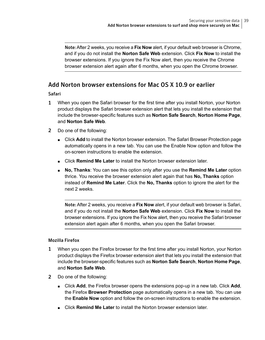Note:After 2 weeks, you receive a **Fix Now** alert, if your default web browser is Chrome, and if you do not install the **Norton Safe Web** extension. Click **Fix Now** to install the browser extensions. If you ignore the Fix Now alert, then you receive the Chrome browser extension alert again after 6 months, when you open the Chrome browser.

#### Add Norton browser extensions for Mac OS X 10.9 or earlier

#### Safari

- 1 When you open the Safari browser for the first time after you install Norton, your Norton product displays the Safari browser extension alert that lets you install the extension that include the browser-specific features such as **Norton Safe Search**, **Norton Home Page**, and **Norton Safe Web**.
- 2 Do one of the following:
	- Click **Add** to install the Norton browser extension. The Safari Browser Protection page automatically opens in a new tab. You can use the Enable Now option and follow the on-screen instructions to enable the extension.
	- Click **Remind Me Later** to install the Norton browser extension later.
	- **No, Thanks**: You can see this option only after you use the **Remind Me Later** option thrice. You receive the browser extension alert again that has **No, Thanks** option instead of **Remind Me Later**. Click the **No, Thanks** option to ignore the alert for the next 2 weeks.

Note: After 2 weeks, you receive a **Fix Now** alert, if your default web browser is Safari, and if you do not install the **Norton Safe Web** extension. Click **Fix Now** to install the browser extensions. If you ignore the Fix Now alert, then you receive the Safari browser extension alert again after 6 months, when you open the Safari browser.

#### Mozilla Firefox

- 1 When you open the Firefox browser for the first time after you install Norton, your Norton product displays the Firefox browser extension alert that lets you install the extension that include the browser-specific features such as **Norton Safe Search**, **Norton Home Page**, and **Norton Safe Web**.
- 2 Do one of the following:
	- Click **Add**, the Firefox browser opens the extensions pop-up in a new tab. Click **Add**, the Firefox **Browser Protection** page automatically opens in a new tab. You can use the **Enable Now** option and follow the on-screen instructions to enable the extension.
	- Click **Remind Me Later** to install the Norton browser extension later.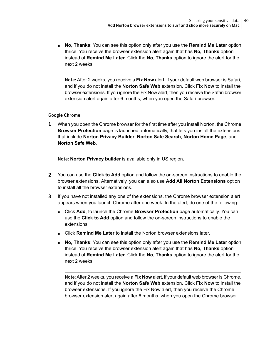■ **No, Thanks**: You can see this option only after you use the **Remind Me Later** option thrice. You receive the browser extension alert again that has **No, Thanks** option instead of **Remind Me Later**. Click the **No, Thanks** option to ignore the alert for the next 2 weeks.

Note: After 2 weeks, you receive a **Fix Now** alert, if your default web browser is Safari, and if you do not install the **Norton Safe Web** extension. Click **Fix Now** to install the browser extensions. If you ignore the Fix Now alert, then you receive the Safari browser extension alert again after 6 months, when you open the Safari browser.

#### Google Chrome

1 When you open the Chrome browser for the first time after you install Norton, the Chrome **Browser Protection** page is launched automatically, that lets you install the extensions that include **Norton Privacy Builder**, **Norton Safe Search**, **Norton Home Page**, and **Norton Safe Web**.

Note: **Norton Privacy builder** is available only in US region.

- 2 You can use the **Click to Add** option and follow the on-screen instructions to enable the browser extensions. Alternatively, you can also use **Add All Norton Extensions** option to install all the browser extensions.
- 3 If you have not installed any one of the extensions, the Chrome browser extension alert appears when you launch Chrome after one week. In the alert, do one of the following:
	- Click **Add**, to launch the Chrome **Browser Protection** page automatically. You can use the **Click to Add** option and follow the on-screen instructions to enable the extensions.
	- Click **Remind Me Later** to install the Norton browser extensions later.
	- **No, Thanks**: You can see this option only after you use the **Remind Me Later** option thrice. You receive the browser extension alert again that has **No, Thanks** option instead of **Remind Me Later**. Click the **No, Thanks** option to ignore the alert for the next 2 weeks.

Note:After 2 weeks, you receive a **Fix Now** alert, if your default web browser is Chrome, and if you do not install the **Norton Safe Web** extension. Click **Fix Now** to install the browser extensions. If you ignore the Fix Now alert, then you receive the Chrome browser extension alert again after 6 months, when you open the Chrome browser.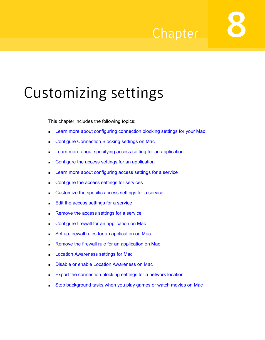## Chapter

# <span id="page-40-0"></span>Customizing settings

This chapter includes the following topics:

- Learn more about [configuring](#page-41-0) connection blocking settings for your Mac
- Configure [Connection](#page-41-1) Blocking settings on Mac
- Learn more about specifying access setting for an [application](#page-43-0)
- Configure the access settings for an [application](#page-43-1)
- Learn more about [configuring](#page-45-0) access settings for a service
- [Configure](#page-45-1) the access settings for services
- [Customize](#page-49-0) the specific access settings for a service
- Edit the access [settings](#page-50-0) for a service
- [Remove](#page-52-0) the access settings for a service
- Configure firewall for an [application](#page-53-0) on Mac
- Set up firewall rules for an [application](#page-54-0) on Mac
- Remove the firewall rule for an [application](#page-55-0) on Mac
- **Location [Awareness](#page-56-0) settings for Mac**
- Disable or enable Location [Awareness](#page-56-1) on Mac
- Export the [connection](#page-57-0) blocking settings for a network location
- Stop [background](#page-58-0) tasks when you play games or watch movies on Mac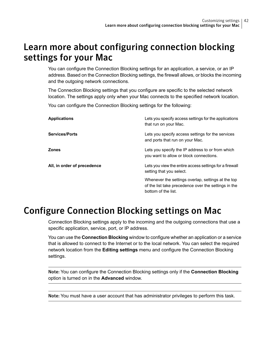### <span id="page-41-0"></span>Learn more about configuring connection blocking settings for your Mac

You can configure the Connection Blocking settings for an application, a service, or an IP address. Based on the Connection Blocking settings, the firewall allows, or blocks the incoming and the outgoing network connections.

The Connection Blocking settings that you configure are specific to the selected network location. The settings apply only when your Mac connects to the specified network location.

You can configure the Connection Blocking settings for the following:

| Applications                | Lets you specify access settings for the applications<br>that run on your Mac.                                                    |
|-----------------------------|-----------------------------------------------------------------------------------------------------------------------------------|
| <b>Services/Ports</b>       | Lets you specify access settings for the services<br>and ports that run on your Mac.                                              |
| Zones                       | Lets you specify the IP address to or from which<br>you want to allow or block connections.                                       |
| All, in order of precedence | Lets you view the entire access settings for a firewall<br>setting that you select.                                               |
|                             | Whenever the settings overlap, settings at the top<br>of the list take precedence over the settings in the<br>bottom of the list. |

### <span id="page-41-1"></span>Configure Connection Blocking settings on Mac

Connection Blocking settings apply to the incoming and the outgoing connections that use a specific application, service, port, or IP address.

You can use the **Connection Blocking** window to configure whether an application or a service that is allowed to connect to the Internet or to the local network. You can select the required network location from the **Editing settings** menu and configure the Connection Blocking settings.

Note: You can configure the Connection Blocking settings only if the **Connection Blocking** option is turned on in the **Advanced** window.

Note: You must have a user account that has administrator privileges to perform this task.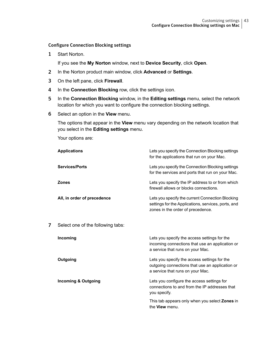#### Configure Connection Blocking settings

1 Start Norton.

If you see the **My Norton** window, next to **Device Security**, click **Open**.

- 2 In the Norton product main window, click **Advanced** or **Settings**.
- 3 On the left pane, click **Firewall**.
- 4 In the **Connection Blocking** row, click the settings icon.
- 5 In the **Connection Blocking** window, in the **Editing settings** menu, select the network location for which you want to configure the connection blocking settings.
- 6 Select an option in the **View** menu.

The options that appear in the **View** menu vary depending on the network location that you select in the **Editing settings** menu.

Your options are:

|   | <b>Applications</b>               | Lets you specify the Connection Blocking settings<br>for the applications that run on your Mac.                                              |
|---|-----------------------------------|----------------------------------------------------------------------------------------------------------------------------------------------|
|   | <b>Services/Ports</b>             | Lets you specify the Connection Blocking settings<br>for the services and ports that run on your Mac.                                        |
|   | <b>Zones</b>                      | Lets you specify the IP address to or from which<br>firewall allows or blocks connections.                                                   |
|   | All, in order of precedence       | Lets you specify the current Connection Blocking<br>settings for the Applications, services, ports, and<br>zones in the order of precedence. |
| 7 | Select one of the following tabs: |                                                                                                                                              |
|   | Incoming                          | Lets you specify the access settings for the<br>incoming connections that use an application or<br>a service that runs on your Mac.          |
|   | Outgoing                          | Lets you specify the access settings for the<br>outgoing connections that use an application or<br>a service that runs on your Mac.          |
|   | <b>Incoming &amp; Outgoing</b>    | Lets you configure the access settings for<br>connections to and from the IP addresses that<br>you specify.                                  |
|   |                                   | This tab appears only when you select <b>Zones</b> in<br>the <b>View</b> menu.                                                               |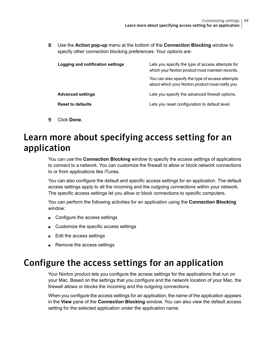8 Use the **Action pop-up** menu at the bottom of the **Connection Blocking** window to specify other connection blocking preferences. Your options are:

| Logging and notification settings | Lets you specify the type of access attempts for<br>which your Norton product must maintain records. |
|-----------------------------------|------------------------------------------------------------------------------------------------------|
|                                   | You can also specify the type of access attempts<br>about which your Norton product must notify you. |
| <b>Advanced settings</b>          | Lets you specify the advanced firewall options.                                                      |
| <b>Reset to defaults</b>          | Lets you reset configuration to default level.                                                       |

<span id="page-43-0"></span>9 Click **Done**.

### Learn more about specifying access setting for an application

You can use the **Connection Blocking** window to specify the access settings of applications to connect to a network. You can customize the firewall to allow or block network connections to or from applications like iTunes.

You can also configure the default and specific access settings for an application. The default access settings apply to all the incoming and the outgoing connections within your network. The specific access settings let you allow or block connections to specific computers.

You can perform the following activities for an application using the **Connection Blocking** window:

- Configure the access settings
- <span id="page-43-1"></span>■ Customize the specific access settings
- Edit the access settings
- Remove the access settings

### Configure the access settings for an application

Your Norton product lets you configure the access settings for the applications that run on your Mac. Based on the settings that you configure and the network location of your Mac, the firewall allows or blocks the incoming and the outgoing connections.

When you configure the access settings for an application, the name of the application appears in the **View** pane of the **Connection Blocking** window. You can also view the default access setting for the selected application under the application name.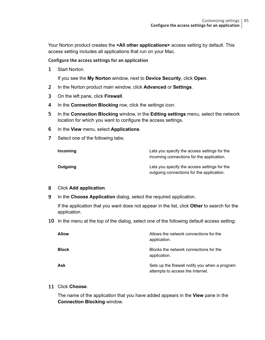Your Norton product creates the **<All other applications>** access setting by default. This access setting includes all applications that run on your Mac.

Configure the access settings for an application

1 Start Norton.

If you see the **My Norton** window, next to **Device Security**, click **Open**.

- 2 In the Norton product main window, click **Advanced** or **Settings**.
- 3 On the left pane, click **Firewall**.
- 4 In the **Connection Blocking** row, click the settings icon.
- 5 In the **Connection Blocking** window, in the **Editing settings** menu, select the network location for which you want to configure the access settings.
- 6 In the **View** menu, select **Applications**.
- 7 Select one of the following tabs:

| Incoming | Lets you specify the access settings for the<br>incoming connections for the application. |
|----------|-------------------------------------------------------------------------------------------|
| Outgoing | Lets you specify the access settings for the<br>outgoing connections for the application. |

#### 8 Click **Add application**.

9 In the **Choose Application** dialog, select the required application.

If the application that you want does not appear in the list, click **Other** to search for the application.

10 In the menu at the top of the dialog, select one of the following default access setting:

| <b>Allow</b> | Allows the network connections for the<br>application.                             |
|--------------|------------------------------------------------------------------------------------|
| <b>Block</b> | Blocks the network connections for the<br>application.                             |
| Ask          | Sets up the firewall notify you when a program<br>attempts to access the Internet. |

11 Click **Choose**.

The name of the application that you have added appears in the **View** pane in the **Connection Blocking** window.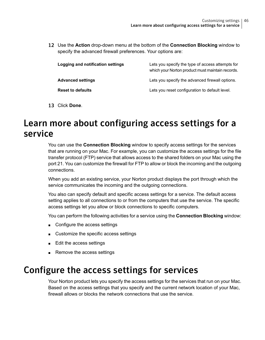12 Use the **Action** drop-down menu at the bottom of the **Connection Blocking** window to specify the advanced firewall preferences. Your options are:

| Logging and notification settings | Lets you specify the type of access attempts for<br>which your Norton product must maintain records. |
|-----------------------------------|------------------------------------------------------------------------------------------------------|
| <b>Advanced settings</b>          | Lets you specify the advanced firewall options.                                                      |
| <b>Reset to defaults</b>          | Lets you reset configuration to default level.                                                       |

<span id="page-45-0"></span>13 Click **Done**.

### Learn more about configuring access settings for a service

You can use the **Connection Blocking** window to specify access settings for the services that are running on your Mac. For example, you can customize the access settings for the file transfer protocol (FTP) service that allows access to the shared folders on your Mac using the port 21. You can customize the firewall for FTP to allow or block the incoming and the outgoing connections.

When you add an existing service, your Norton product displays the port through which the service communicates the incoming and the outgoing connections.

You also can specify default and specific access settings for a service. The default access setting applies to all connections to or from the computers that use the service. The specific access settings let you allow or block connections to specific computers.

You can perform the following activities for a service using the **Connection Blocking** window:

- Configure the access settings
- <span id="page-45-1"></span>■ Customize the specific access settings
- Edit the access settings
- Remove the access settings

### Configure the access settings for services

Your Norton product lets you specify the access settings for the services that run on your Mac. Based on the access settings that you specify and the current network location of your Mac, firewall allows or blocks the network connections that use the service.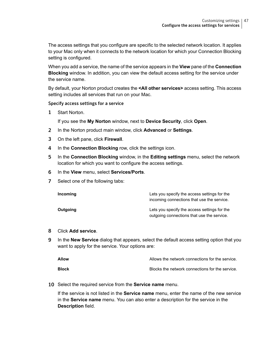The access settings that you configure are specific to the selected network location. It applies to your Mac only when it connects to the network location for which your Connection Blocking setting is configured.

When you add a service, the name of the service appears in the **View** pane of the **Connection Blocking** window. In addition, you can view the default access setting for the service under the service name.

By default, your Norton product creates the **<All other services>** access setting. This access setting includes all services that run on your Mac.

#### Specify access settings for a service

1 Start Norton.

If you see the **My Norton** window, next to **Device Security**, click **Open**.

- 2 In the Norton product main window, click **Advanced** or **Settings**.
- 3 On the left pane, click **Firewall**.
- 4 In the **Connection Blocking** row, click the settings icon.
- 5 In the **Connection Blocking** window, in the **Editing settings** menu, select the network location for which you want to configure the access settings.
- 6 In the **View** menu, select **Services/Ports**.
- 7 Select one of the following tabs:

| Incoming | Lets you specify the access settings for the<br>incoming connections that use the service. |
|----------|--------------------------------------------------------------------------------------------|
| Outgoing | Lets you specify the access settings for the<br>outgoing connections that use the service. |

#### 8 Click **Add service**.

9 In the **New Service** dialog that appears, select the default access setting option that you want to apply for the service. Your options are:

| Allow | Allows the network connections for the service. |
|-------|-------------------------------------------------|
| Block | Blocks the network connections for the service. |

10 Select the required service from the **Service name** menu.

If the service is not listed in the **Service name** menu, enter the name of the new service in the **Service name** menu. You can also enter a description for the service in the **Description** field.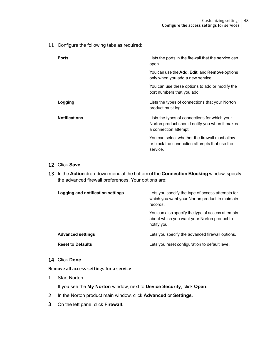11 Configure the following tabs as required:

| <b>Ports</b>         | Lists the ports in the firewall that the service can<br>open.                                                            |
|----------------------|--------------------------------------------------------------------------------------------------------------------------|
|                      | You can use the Add, Edit, and Remove options<br>only when you add a new service.                                        |
|                      | You can use these options to add or modify the<br>port numbers that you add.                                             |
| Logging              | Lists the types of connections that your Norton<br>product must log.                                                     |
| <b>Notifications</b> | Lists the types of connections for which your<br>Norton product should notify you when it makes<br>a connection attempt. |
|                      | You can select whether the firewall must allow<br>or block the connection attempts that use the<br>service.              |

#### 12 Click **Save**.

13 In the **Action** drop-down menu at the bottom of the **Connection Blocking** window, specify the advanced firewall preferences. Your options are:

| Logging and notification settings | Lets you specify the type of access attempts for<br>which you want your Norton product to maintain<br>records  |
|-----------------------------------|----------------------------------------------------------------------------------------------------------------|
|                                   | You can also specify the type of access attempts<br>about which you want your Norton product to<br>notify you. |
| <b>Advanced settings</b>          | Lets you specify the advanced firewall options.                                                                |
| <b>Reset to Defaults</b>          | Lets you reset configuration to default level.                                                                 |

14 Click **Done**.

Remove all access settings for a service

1 Start Norton.

- 2 In the Norton product main window, click **Advanced** or **Settings**.
- 3 On the left pane, click **Firewall**.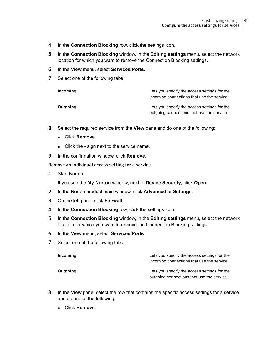- 4 In the **Connection Blocking** row, click the settings icon.
- 5 In the **Connection Blocking** window, in the **Editing settings** menu, select the network location for which you want to remove the Connection Blocking settings.
- 6 In the **View** menu, select **Services/Ports**.
- 7 Select one of the following tabs:

| Incoming | Lets you specify the access settings for the<br>incoming connections that use the service. |
|----------|--------------------------------------------------------------------------------------------|
| Outgoing | Lets you specify the access settings for the<br>outgoing connections that use the service. |

- 8 Select the required service from the **View** pane and do one of the following:
	- Click **Remove**.
	- Click the sign next to the service name.
- 9 In the confirmation window, click **Remove**.

#### Remove an individual access setting for a service

1 Start Norton.

- 2 In the Norton product main window, click **Advanced** or **Settings**.
- 3 On the left pane, click **Firewall**.
- 4 In the **Connection Blocking** row, click the settings icon.
- 5 In the **Connection Blocking** window, in the **Editing settings** menu, select the network location for which you want to remove the Connection Blocking settings.
- 6 In the **View** menu, select **Services/Ports**.
- 7 Select one of the following tabs:

| Incoming | Lets you specify the access settings for the<br>incoming connections that use the service. |
|----------|--------------------------------------------------------------------------------------------|
| Outgoing | Lets you specify the access settings for the<br>outgoing connections that use the service. |

- 8 In the **View** pane, select the row that contains the specific access settings for a service and do one of the following:
	- Click **Remove**.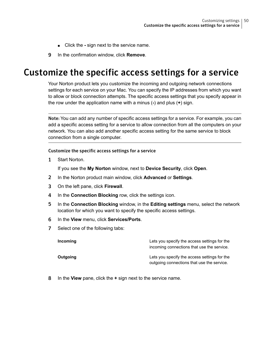- Click the sign next to the service name.
- <span id="page-49-0"></span>9 In the confirmation window, click **Remove**.

### Customize the specific access settings for a service

Your Norton product lets you customize the incoming and outgoing network connections settings for each service on your Mac. You can specify the IP addresses from which you want to allow or block connection attempts. The specific access settings that you specify appear in the row under the application name with a minus (**-**) and plus (**+**) sign.

Note: You can add any number of specific access settings for a service. For example, you can add a specific access setting for a service to allow connection from all the computers on your network. You can also add another specific access setting for the same service to block connection from a single computer.

#### Customize the specific access settings for a service

1 Start Norton.

If you see the **My Norton** window, next to **Device Security**, click **Open**.

- 2 In the Norton product main window, click **Advanced** or **Settings**.
- 3 On the left pane, click **Firewall**.
- 4 In the **Connection Blocking** row, click the settings icon.
- 5 In the **Connection Blocking** window, in the **Editing settings** menu, select the network location for which you want to specify the specific access settings.
- 6 In the **View** menu, click **Services/Ports**.
- 7 Select one of the following tabs:

| Incoming | Lets you specify the access settings for the<br>incoming connections that use the service. |
|----------|--------------------------------------------------------------------------------------------|
| Outgoing | Lets you specify the access settings for the<br>outgoing connections that use the service. |

8 In the **View** pane, click the **+** sign next to the service name.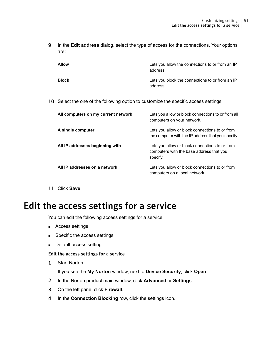9 In the **Edit address** dialog, select the type of access for the connections. Your options are:

| <b>Allow</b> | Lets you allow the connections to or from an IP<br>address. |
|--------------|-------------------------------------------------------------|
| <b>Block</b> | Lets you block the connections to or from an IP<br>address. |

10 Select the one of the following option to customize the specific access settings:

| All computers on my current network | Lets you allow or block connections to or from all<br>computers on your network.                       |
|-------------------------------------|--------------------------------------------------------------------------------------------------------|
| A single computer                   | Lets you allow or block connections to or from<br>the computer with the IP address that you specify.   |
| All IP addresses beginning with     | Lets you allow or block connections to or from<br>computers with the base address that you<br>specify. |
| All IP addresses on a network       | Lets you allow or block connections to or from<br>computers on a local network.                        |

<span id="page-50-0"></span>11 Click **Save**.

### Edit the access settings for a service

You can edit the following access settings for a service:

- Access settings
- Specific the access settings
- Default access setting

#### Edit the access settings for a service

1 Start Norton.

- 2 In the Norton product main window, click **Advanced** or **Settings**.
- 3 On the left pane, click **Firewall**.
- 4 In the **Connection Blocking** row, click the settings icon.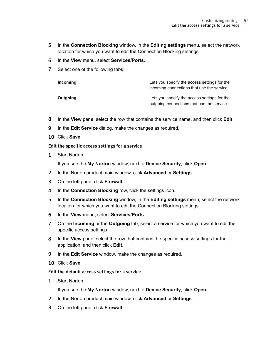- 5 In the **Connection Blocking** window, in the **Editing settings** menu, select the network location for which you want to edit the Connection Blocking settings.
- 6 In the **View** menu, select **Services/Ports**.
- 7 Select one of the following tabs:

| Incoming | Lets you specify the access settings for the<br>incoming connections that use the service. |
|----------|--------------------------------------------------------------------------------------------|
| Outgoing | Lets you specify the access settings for the<br>outgoing connections that use the service. |

- 8 In the **View** pane, select the row that contains the service name, and then click **Edit**.
- 9 In the **Edit Service** dialog, make the changes as required.
- 10 Click **Save**.

#### Edit the specific access settings for a service

1 Start Norton.

If you see the **My Norton** window, next to **Device Security**, click **Open**.

- 2 In the Norton product main window, click **Advanced** or **Settings**.
- 3 On the left pane, click **Firewall**.
- 4 In the **Connection Blocking** row, click the settings icon.
- 5 In the **Connection Blocking** window, in the **Editing settings** menu, select the network location for which you want to edit the Connection Blocking settings.
- 6 In the **View** menu, select **Services/Ports**.
- 7 On the **Incoming** or the **Outgoing** tab, select a service for which you want to edit the specific access settings.
- 8 In the **View** pane, select the row that contains the specific access settings for the application, and then click **Edit**.
- 9 In the **Edit Service** window, make the changes as required.
- 10 Click **Save**.

#### Edit the default access settings for a service

1 Start Norton.

- 2 In the Norton product main window, click **Advanced** or **Settings**.
- 3 On the left pane, click **Firewall**.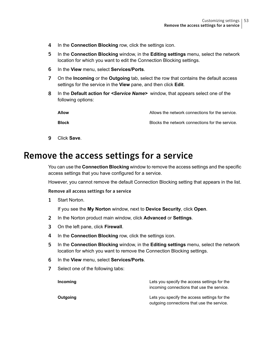- 4 In the **Connection Blocking** row, click the settings icon.
- 5 In the **Connection Blocking** window, in the **Editing settings** menu, select the network location for which you want to edit the Connection Blocking settings.
- 6 In the **View** menu, select **Services/Ports**.
- 7 On the **Incoming** or the **Outgoing** tab, select the row that contains the default access settings for the service in the **View** pane, and then click **Edit**.
- 8 In the **Default action for** *<Service Name>* window, that appears select one of the following options:

| Allow        | Allows the network connections for the service. |
|--------------|-------------------------------------------------|
| <b>Block</b> | Blocks the network connections for the service. |

<span id="page-52-0"></span>9 Click **Save**.

### Remove the access settings for a service

You can use the **Connection Blocking** window to remove the access settings and the specific access settings that you have configured for a service.

However, you cannot remove the default Connection Blocking setting that appears in the list.

#### Remove all access settings for a service

1 Start Norton.

- 2 In the Norton product main window, click **Advanced** or **Settings**.
- 3 On the left pane, click **Firewall**.
- 4 In the **Connection Blocking** row, click the settings icon.
- 5 In the **Connection Blocking** window, in the **Editing settings** menu, select the network location for which you want to remove the Connection Blocking settings.
- 6 In the **View** menu, select **Services/Ports**.
- 7 Select one of the following tabs:

| Incoming | Lets you specify the access settings for the<br>incoming connections that use the service. |
|----------|--------------------------------------------------------------------------------------------|
| Outgoing | Lets you specify the access settings for the<br>outgoing connections that use the service. |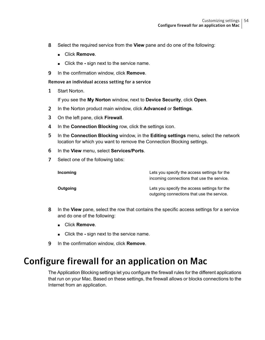- 8 Select the required service from the **View** pane and do one of the following:
	- Click **Remove**.
	- Click the sign next to the service name.
- 9 In the confirmation window, click **Remove**.

Remove an individual access setting for a service

1 Start Norton.

If you see the **My Norton** window, next to **Device Security**, click **Open**.

- 2 In the Norton product main window, click **Advanced** or **Settings**.
- 3 On the left pane, click **Firewall**.
- 4 In the **Connection Blocking** row, click the settings icon.
- 5 In the **Connection Blocking** window, in the **Editing settings** menu, select the network location for which you want to remove the Connection Blocking settings.
- 6 In the **View** menu, select **Services/Ports**.
- 7 Select one of the following tabs:

| Incoming | Lets you specify the access settings for the<br>incoming connections that use the service. |
|----------|--------------------------------------------------------------------------------------------|
| Outgoing | Lets you specify the access settings for the<br>outgoing connections that use the service. |

- <span id="page-53-0"></span>8 In the **View** pane, select the row that contains the specific access settings for a service and do one of the following:
	- Click **Remove**.
	- Click the sign next to the service name.
- 9 In the confirmation window, click **Remove**.

### Configure firewall for an application on Mac

The Application Blocking settings let you configure the firewall rules for the different applications that run on your Mac. Based on these settings, the firewall allows or blocks connections to the Internet from an application.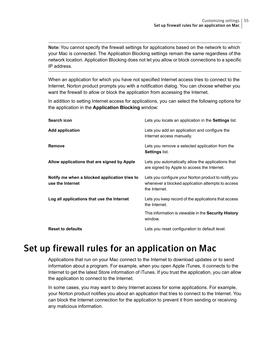Note: You cannot specify the firewall settings for applications based on the network to which your Mac is connected. The Application Blocking settings remain the same regardless of the network location. Application Blocking does not let you allow or block connections to a specific IP address.

When an application for which you have not specified Internet access tries to connect to the Internet, Norton product prompts you with a notification dialog. You can choose whether you want the firewall to allow or block the application from accessing the Internet.

In addition to setting Internet access for applications, you can select the following options for the application in the **Application Blocking** window:

| Search icon                                                       | Lets you locate an application in the <b>Settings</b> list.                                                                |
|-------------------------------------------------------------------|----------------------------------------------------------------------------------------------------------------------------|
| <b>Add application</b>                                            | Lets you add an application and configure the<br>Internet access manually.                                                 |
| Remove                                                            | Lets you remove a selected application from the<br>Settings list.                                                          |
| Allow applications that are signed by Apple                       | Lets you automatically allow the applications that<br>are signed by Apple to access the Internet.                          |
| Notify me when a blocked application tries to<br>use the Internet | Lets you configure your Norton product to notify you<br>whenever a blocked application attempts to access<br>the Internet. |
| Log all applications that use the Internet                        | Lets you keep record of the applications that access<br>the Internet.                                                      |
|                                                                   | This information is viewable in the Security History<br>window.                                                            |
| <b>Reset to defaults</b>                                          | Lets you reset configuration to default level.                                                                             |

### <span id="page-54-0"></span>Set up firewall rules for an application on Mac

Applications that run on your Mac connect to the Internet to download updates or to send information about a program. For example, when you open Apple iTunes, it connects to the Internet to get the latest Store information of iTunes. If you trust the application, you can allow the application to connect to the Internet.

In some cases, you may want to deny Internet access for some applications. For example, your Norton product notifies you about an application that tries to connect to the Internet. You can block the Internet connection for the application to prevent it from sending or receiving any malicious information.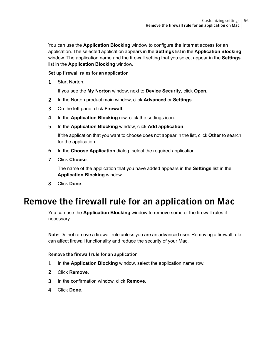You can use the **Application Blocking** window to configure the Internet access for an application. The selected application appears in the **Settings** list in the **Application Blocking** window. The application name and the firewall setting that you select appear in the **Settings** list in the **Application Blocking** window.

Set up firewall rules for an application

1 Start Norton.

If you see the **My Norton** window, next to **Device Security**, click **Open**.

- 2 In the Norton product main window, click **Advanced** or **Settings**.
- 3 On the left pane, click **Firewall**.
- 4 In the **Application Blocking** row, click the settings icon.
- 5 In the **Application Blocking** window, click **Add application**.

If the application that you want to choose does not appear in the list, click **Other** to search for the application.

- 6 In the **Choose Application** dialog, select the required application.
- <span id="page-55-0"></span>7 Click **Choose**.

The name of the application that you have added appears in the **Settings** list in the **Application Blocking** window.

8 Click **Done**.

### Remove the firewall rule for an application on Mac

You can use the **Application Blocking** window to remove some of the firewall rules if necessary.

Note: Do not remove a firewall rule unless you are an advanced user. Removing a firewall rule can affect firewall functionality and reduce the security of your Mac.

Remove the firewall rule for an application

- 1 In the **Application Blocking** window, select the application name row.
- 2 Click **Remove**.
- 3 In the confirmation window, click **Remove**.
- 4 Click **Done**.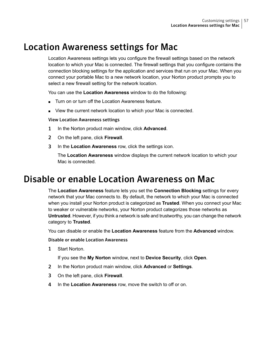### Location Awareness settings for Mac

<span id="page-56-0"></span>Location Awareness settings lets you configure the firewall settings based on the network location to which your Mac is connected. The firewall settings that you configure contains the connection blocking settings for the application and services that run on your Mac. When you connect your portable Mac to a new network location, your Norton product prompts you to select a new firewall setting for the network location.

You can use the **Location Awareness** window to do the following:

- Turn on or turn off the Location Awareness feature.
- View the current network location to which your Mac is connected.

#### View Location Awareness settings

- 1 In the Norton product main window, click **Advanced**.
- 2 On the left pane, click **Firewall**.
- <span id="page-56-1"></span>3 In the **Location Awareness** row, click the settings icon.

The **Location Awareness** window displays the current network location to which your Mac is connected.

### Disable or enable Location Awareness on Mac

The **Location Awareness** feature lets you set the **Connection Blocking** settings for every network that your Mac connects to. By default, the network to which your Mac is connected when you install your Norton product is categorized as **Trusted**. When you connect your Mac to weaker or vulnerable networks, your Norton product categorizes those networks as **Untrusted**. However, if you think a network is safe and trustworthy, you can change the network category to **Trusted**.

You can disable or enable the **Location Awareness** feature from the **Advanced** window.

#### Disable or enable Location Awareness

1 Start Norton.

- 2 In the Norton product main window, click **Advanced** or **Settings**.
- 3 On the left pane, click **Firewall**.
- 4 In the **Location Awareness** row, move the switch to off or on.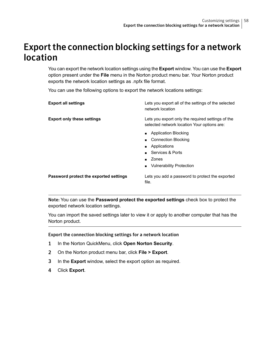### <span id="page-57-0"></span>Export the connection blocking settings for a network location

You can export the network location settings using the **Export** window. You can use the **Export** option present under the **File** menu in the Norton product menu bar. Your Norton product exports the network location settings as .npfx file format.

You can use the following options to export the network locations settings:

| <b>Export all settings</b>             | Lets you export all of the settings of the selected<br>network location                                                                          |
|----------------------------------------|--------------------------------------------------------------------------------------------------------------------------------------------------|
| <b>Export only these settings</b>      | Lets you export only the required settings of the<br>selected network location Your options are:                                                 |
|                                        | <b>Application Blocking</b><br><b>Connection Blocking</b><br>Applications<br>. .<br>Services & Ports<br>Zones<br><b>Vulnerability Protection</b> |
| Password protect the exported settings | Lets you add a password to protect the exported<br>file.                                                                                         |

Note: You can use the **Password protect the exported settings** check box to protect the exported network location settings.

You can import the saved settings later to view it or apply to another computer that has the Norton product.

#### Export the connection blocking settings for a network location

- 1 In the Norton QuickMenu, click **Open Norton Security**.
- 2 On the Norton product menu bar, click **File > Export**.
- 3 In the **Export** window, select the export option as required.
- 4 Click **Export**.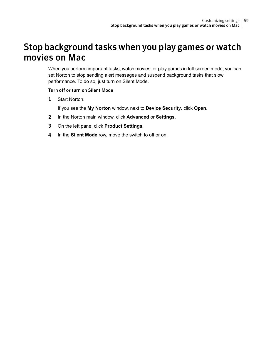### <span id="page-58-0"></span>Stop background tasks when you play games or watch movies on Mac

When you perform important tasks, watch movies, or play games in full-screen mode, you can set Norton to stop sending alert messages and suspend background tasks that slow performance. To do so, just turn on Silent Mode.

#### Turn off or turn on Silent Mode

1 Start Norton.

- 2 In the Norton main window, click **Advanced** or **Settings**.
- 3 On the left pane, click **Product Settings**.
- 4 In the **Silent Mode** row, move the switch to off or on.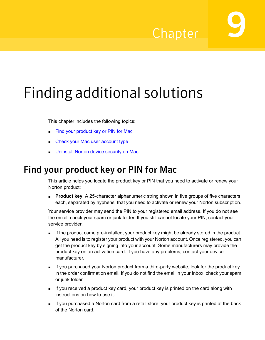## Chapter

# <span id="page-59-0"></span>Finding additional solutions

This chapter includes the following topics:

- Find your [product](#page-59-1) key or PIN for Mac
- <span id="page-59-1"></span>Check your Mac user [account](#page-60-0) type
- **[Uninstall](#page-60-1) Norton device security on Mac**

### Find your product key or PIN for Mac

This article helps you locate the product key or PIN that you need to activate or renew your Norton product:

■ **Product key**: A 25-character alphanumeric string shown in five groups of five characters each, separated by hyphens, that you need to activate or renew your Norton subscription.

Your service provider may send the PIN to your registered email address. If you do not see the email, check your spam or junk folder. If you still cannot locate your PIN, contact your service provider.

- If the product came pre-installed, your product key might be already stored in the product. All you need is to register your product with your Norton account. Once registered, you can get the product key by signing into your account. Some manufacturers may provide the product key on an activation card. If you have any problems, contact your device manufacturer.
- If you purchased your Norton product from a third-party website, look for the product key in the order confirmation email. If you do not find the email in your Inbox, check your spam or junk folder.
- If you received a product key card, your product key is printed on the card along with instructions on how to use it.
- If you purchased a Norton card from a retail store, your product key is printed at the back of the Norton card.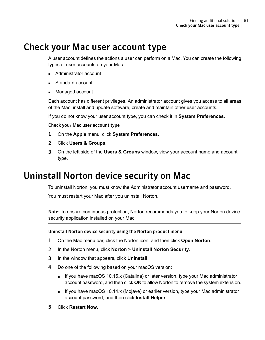### Check your Mac user account type

<span id="page-60-0"></span>A user account defines the actions a user can perform on a Mac. You can create the following types of user accounts on your Mac:

- Administrator account
- Standard account
- Managed account

Each account has different privileges. An administrator account gives you access to all areas of the Mac, install and update software, create and maintain other user accounts.

If you do not know your user account type, you can check it in **System Preferences**.

#### Check your Mac user account type

- 1 On the **Apple** menu, click **System Preferences**.
- 2 Click **Users & Groups**.
- <span id="page-60-1"></span>3 On the left side of the **Users & Groups** window, view your account name and account type.

### Uninstall Norton device security on Mac

To uninstall Norton, you must know the Administrator account username and password.

You must restart your Mac after you uninstall Norton.

Note: To ensure continuous protection, Norton recommends you to keep your Norton device security application installed on your Mac.

Uninstall Norton device security using the Norton product menu

- 1 On the Mac menu bar, click the Norton icon, and then click **Open Norton**.
- 2 In the Norton menu, click **Norton** > **Uninstall Norton Security**.
- 3 In the window that appears, click **Uninstall**.
- 4 Do one of the following based on your macOS version:
	- If you have macOS 10.15.x (Catalina) or later version, type your Mac administrator account password, and then click **OK** to allow Norton to remove the system extension.
	- If you have macOS 10.14.x (Mojave) or earlier version, type your Mac administrator account password, and then click **Install Helper**.
- 5 Click **Restart Now**.